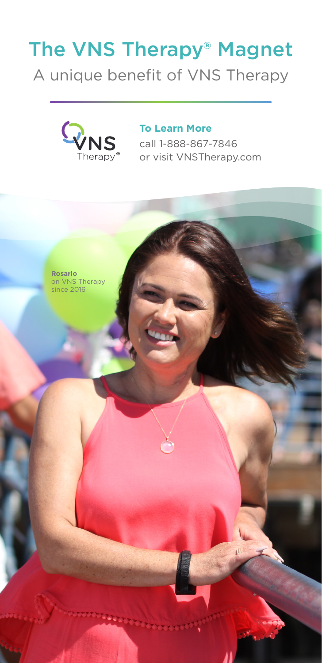# The VNS Therapy® Magnet

A unique benefit of VNS Therapy



### **To Learn More** call 1-888-867-7846 or visit VNSTherapy.com

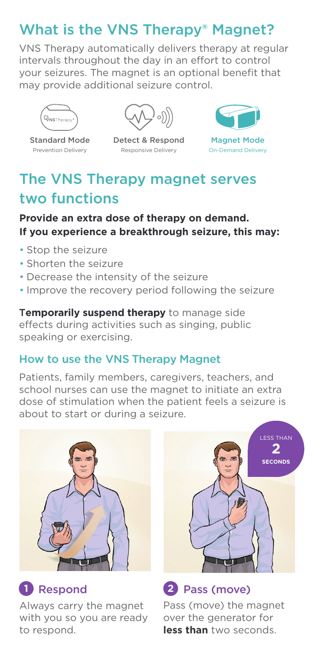## What is the VNS Therapy® Magnet?

VNS Therapy automatically delivers therapy at regular intervals throughout the day in an effort to control your seizures. The magnet is an optional benefit that may provide additional seizure control.



Standard Mode Prevention Delivery



Detect & Respond Responsive Delivery



On-Demand Delivery

# The VNS Therapy magnet serves two functions

### **Provide an extra dose of therapy on demand. If you experience a breakthrough seizure, this may:**

- Stop the seizure
- Shorten the seizure
- Decrease the intensity of the seizure
- Improve the recovery period following the seizure

T**emporarily suspend therapy** to manage side effects during activities such as singing, public speaking or exercising.

### How to use the VNS Therapy Magnet

Patients, family members, caregivers, teachers, and school nurses can use the magnet to initiate an extra dose of stimulation when the patient feels a seizure is about to start or during a seizure.



Always carry the magnet with you so you are ready to respond.



### **1** Respond **2** Pass (move)

Pass (move) the magnet over the generator for **less than** two seconds.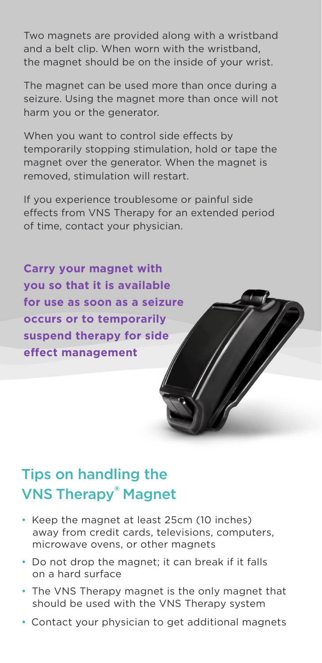Two magnets are provided along with a wristband and a belt clip. When worn with the wristband, the magnet should be on the inside of your wrist.

The magnet can be used more than once during a seizure. Using the magnet more than once will not harm you or the generator.

When you want to control side effects by temporarily stopping stimulation, hold or tape the magnet over the generator. When the magnet is removed, stimulation will restart.

If you experience troublesome or painful side effects from VNS Therapy for an extended period of time, contact your physician.

**Carry your magnet with you so that it is available for use as soon as a seizure occurs or to temporarily suspend therapy for side effect management**

# Tips on handling the VNS Therapy® Magnet

- Keep the magnet at least 25cm (10 inches) away from credit cards, televisions, computers, microwave ovens, or other magnets
- Do not drop the magnet; it can break if it falls on a hard surface
- The VNS Therapy magnet is the only magnet that should be used with the VNS Therapy system
- Contact your physician to get additional magnets